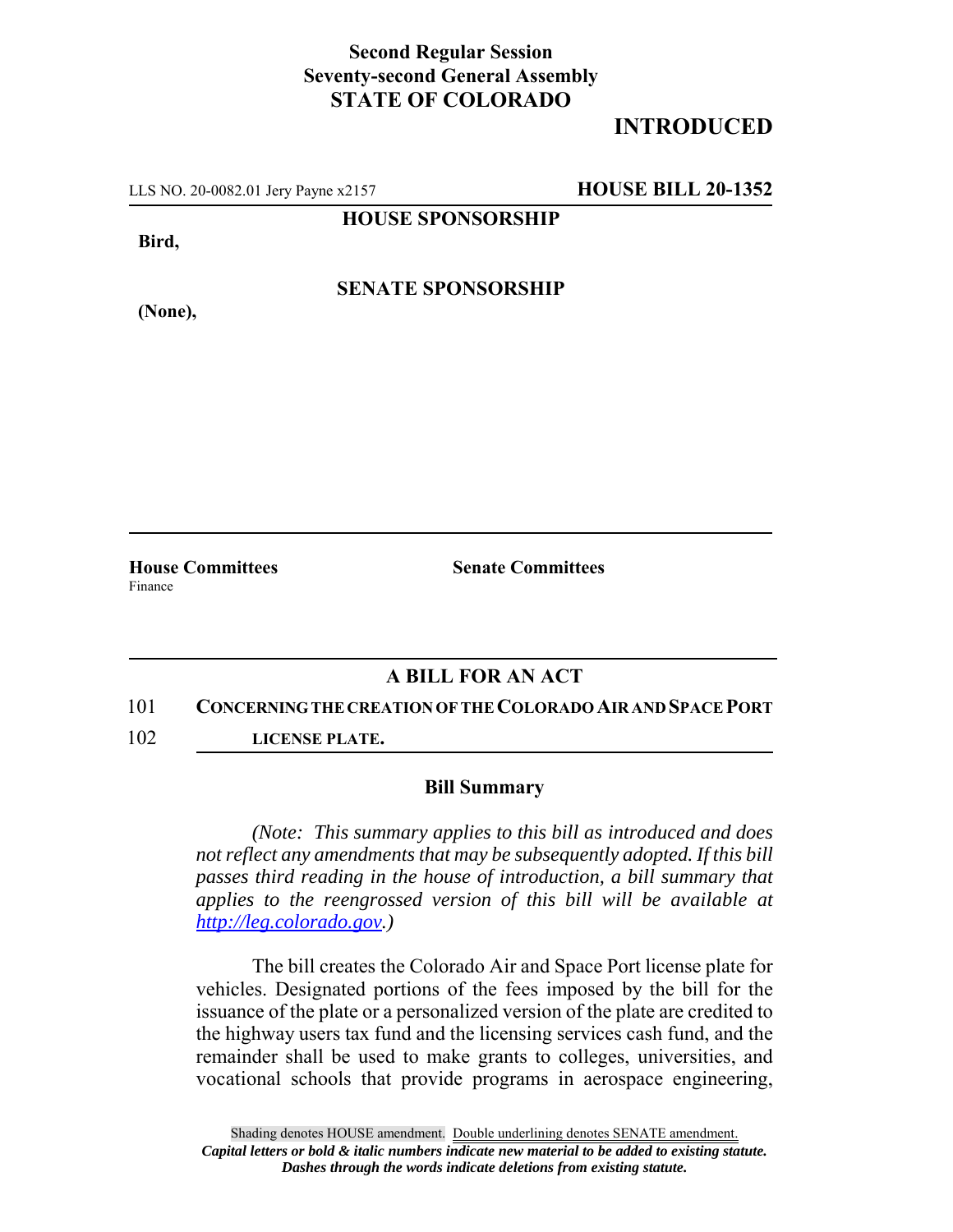## **Second Regular Session Seventy-second General Assembly STATE OF COLORADO**

# **INTRODUCED**

LLS NO. 20-0082.01 Jery Payne x2157 **HOUSE BILL 20-1352**

**HOUSE SPONSORSHIP**

**Bird,**

**(None),**

**SENATE SPONSORSHIP**

Finance

**House Committees Senate Committees** 

### **A BILL FOR AN ACT**

#### 101 **CONCERNING THE CREATION OF THE COLORADO AIR AND SPACE PORT**

102 **LICENSE PLATE.**

#### **Bill Summary**

*(Note: This summary applies to this bill as introduced and does not reflect any amendments that may be subsequently adopted. If this bill passes third reading in the house of introduction, a bill summary that applies to the reengrossed version of this bill will be available at http://leg.colorado.gov.)*

The bill creates the Colorado Air and Space Port license plate for vehicles. Designated portions of the fees imposed by the bill for the issuance of the plate or a personalized version of the plate are credited to the highway users tax fund and the licensing services cash fund, and the remainder shall be used to make grants to colleges, universities, and vocational schools that provide programs in aerospace engineering,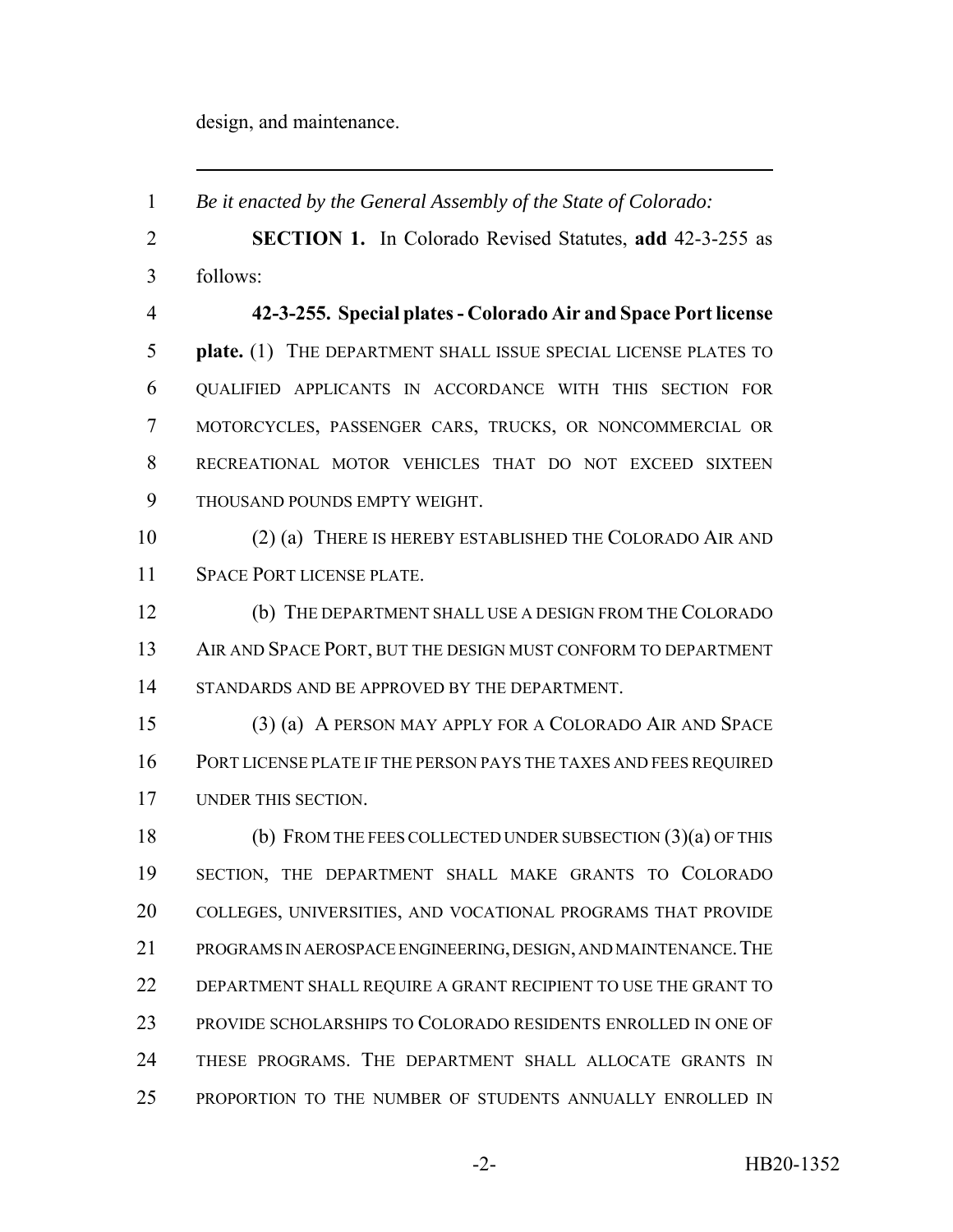design, and maintenance.

 *Be it enacted by the General Assembly of the State of Colorado:* **SECTION 1.** In Colorado Revised Statutes, **add** 42-3-255 as follows: **42-3-255. Special plates - Colorado Air and Space Port license plate.** (1) THE DEPARTMENT SHALL ISSUE SPECIAL LICENSE PLATES TO QUALIFIED APPLICANTS IN ACCORDANCE WITH THIS SECTION FOR MOTORCYCLES, PASSENGER CARS, TRUCKS, OR NONCOMMERCIAL OR RECREATIONAL MOTOR VEHICLES THAT DO NOT EXCEED SIXTEEN THOUSAND POUNDS EMPTY WEIGHT. (2) (a) THERE IS HEREBY ESTABLISHED THE COLORADO AIR AND SPACE PORT LICENSE PLATE. (b) THE DEPARTMENT SHALL USE A DESIGN FROM THE COLORADO 13 AIR AND SPACE PORT, BUT THE DESIGN MUST CONFORM TO DEPARTMENT STANDARDS AND BE APPROVED BY THE DEPARTMENT. (3) (a) A PERSON MAY APPLY FOR A COLORADO AIR AND SPACE PORT LICENSE PLATE IF THE PERSON PAYS THE TAXES AND FEES REQUIRED UNDER THIS SECTION. (b) FROM THE FEES COLLECTED UNDER SUBSECTION (3)(a) OF THIS SECTION, THE DEPARTMENT SHALL MAKE GRANTS TO COLORADO COLLEGES, UNIVERSITIES, AND VOCATIONAL PROGRAMS THAT PROVIDE PROGRAMS IN AEROSPACE ENGINEERING, DESIGN, AND MAINTENANCE.THE DEPARTMENT SHALL REQUIRE A GRANT RECIPIENT TO USE THE GRANT TO PROVIDE SCHOLARSHIPS TO COLORADO RESIDENTS ENROLLED IN ONE OF THESE PROGRAMS. THE DEPARTMENT SHALL ALLOCATE GRANTS IN PROPORTION TO THE NUMBER OF STUDENTS ANNUALLY ENROLLED IN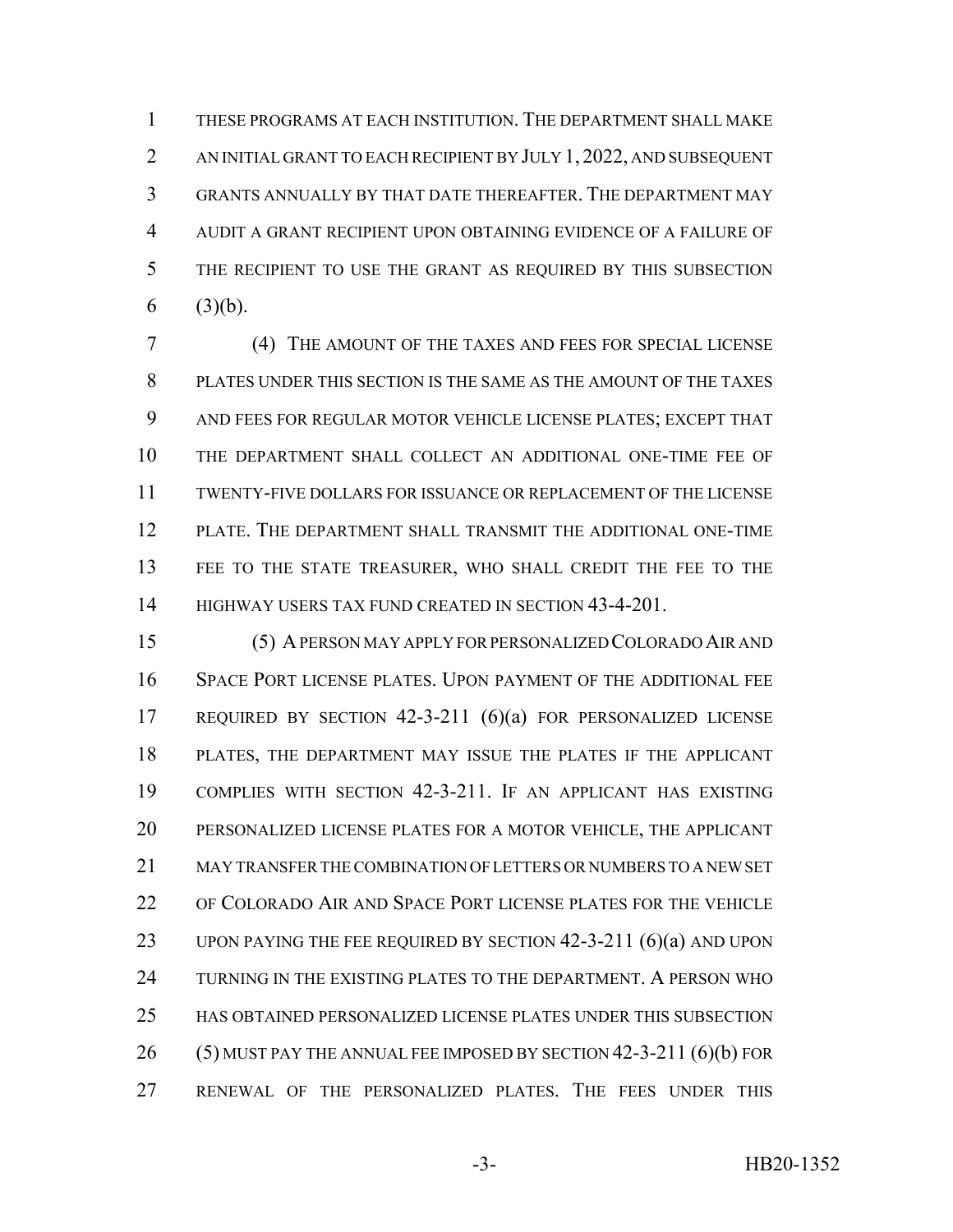THESE PROGRAMS AT EACH INSTITUTION. THE DEPARTMENT SHALL MAKE AN INITIAL GRANT TO EACH RECIPIENT BY JULY 1, 2022, AND SUBSEQUENT GRANTS ANNUALLY BY THAT DATE THEREAFTER. THE DEPARTMENT MAY AUDIT A GRANT RECIPIENT UPON OBTAINING EVIDENCE OF A FAILURE OF THE RECIPIENT TO USE THE GRANT AS REQUIRED BY THIS SUBSECTION 6  $(3)(b)$ .

 (4) THE AMOUNT OF THE TAXES AND FEES FOR SPECIAL LICENSE PLATES UNDER THIS SECTION IS THE SAME AS THE AMOUNT OF THE TAXES AND FEES FOR REGULAR MOTOR VEHICLE LICENSE PLATES; EXCEPT THAT THE DEPARTMENT SHALL COLLECT AN ADDITIONAL ONE-TIME FEE OF TWENTY-FIVE DOLLARS FOR ISSUANCE OR REPLACEMENT OF THE LICENSE PLATE. THE DEPARTMENT SHALL TRANSMIT THE ADDITIONAL ONE-TIME FEE TO THE STATE TREASURER, WHO SHALL CREDIT THE FEE TO THE 14 HIGHWAY USERS TAX FUND CREATED IN SECTION 43-4-201.

 (5) A PERSON MAY APPLY FOR PERSONALIZED COLORADO AIR AND SPACE PORT LICENSE PLATES. UPON PAYMENT OF THE ADDITIONAL FEE REQUIRED BY SECTION 42-3-211 (6)(a) FOR PERSONALIZED LICENSE PLATES, THE DEPARTMENT MAY ISSUE THE PLATES IF THE APPLICANT COMPLIES WITH SECTION 42-3-211. IF AN APPLICANT HAS EXISTING PERSONALIZED LICENSE PLATES FOR A MOTOR VEHICLE, THE APPLICANT MAY TRANSFER THE COMBINATION OF LETTERS OR NUMBERS TO A NEW SET OF COLORADO AIR AND SPACE PORT LICENSE PLATES FOR THE VEHICLE UPON PAYING THE FEE REQUIRED BY SECTION 42-3-211 (6)(a) AND UPON TURNING IN THE EXISTING PLATES TO THE DEPARTMENT. A PERSON WHO HAS OBTAINED PERSONALIZED LICENSE PLATES UNDER THIS SUBSECTION (5) MUST PAY THE ANNUAL FEE IMPOSED BY SECTION 42-3-211 (6)(b) FOR RENEWAL OF THE PERSONALIZED PLATES. THE FEES UNDER THIS